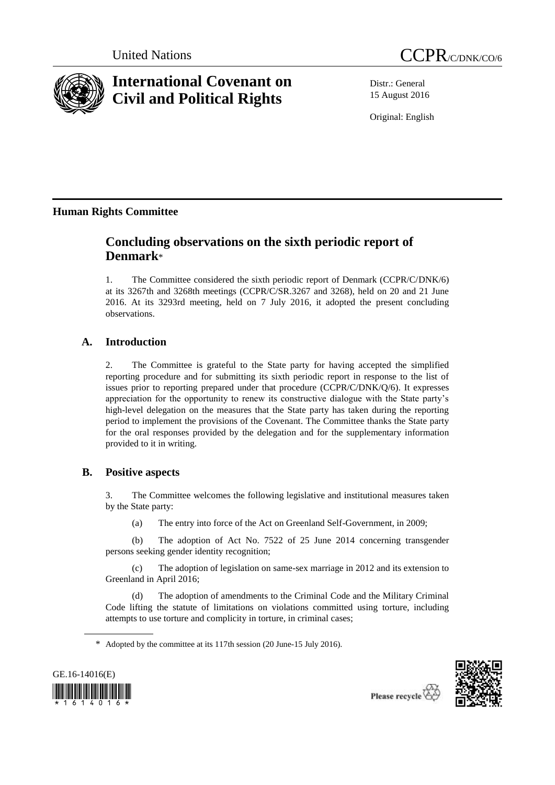



# **International Covenant on Civil and Political Rights**

Distr.: General 15 August 2016

Original: English

# **Human Rights Committee**

# **Concluding observations on the sixth periodic report of Denmark**\*

1. The Committee considered the sixth periodic report of Denmark (CCPR/C/DNK/6) at its 3267th and 3268th meetings (CCPR/C/SR.3267 and 3268), held on 20 and 21 June 2016. At its 3293rd meeting, held on 7 July 2016, it adopted the present concluding observations.

# **A. Introduction**

2. The Committee is grateful to the State party for having accepted the simplified reporting procedure and for submitting its sixth periodic report in response to the list of issues prior to reporting prepared under that procedure (CCPR/C/DNK/Q/6). It expresses appreciation for the opportunity to renew its constructive dialogue with the State party's high-level delegation on the measures that the State party has taken during the reporting period to implement the provisions of the Covenant. The Committee thanks the State party for the oral responses provided by the delegation and for the supplementary information provided to it in writing.

## **B. Positive aspects**

3. The Committee welcomes the following legislative and institutional measures taken by the State party:

(a) The entry into force of the Act on Greenland Self-Government, in 2009;

(b) The adoption of Act No. 7522 of 25 June 2014 concerning transgender persons seeking gender identity recognition;

(c) The adoption of legislation on same-sex marriage in 2012 and its extension to Greenland in April 2016;

The adoption of amendments to the Criminal Code and the Military Criminal Code lifting the statute of limitations on violations committed using torture, including attempts to use torture and complicity in torture, in criminal cases;





<sup>\*</sup> Adopted by the committee at its 117th session (20 June-15 July 2016).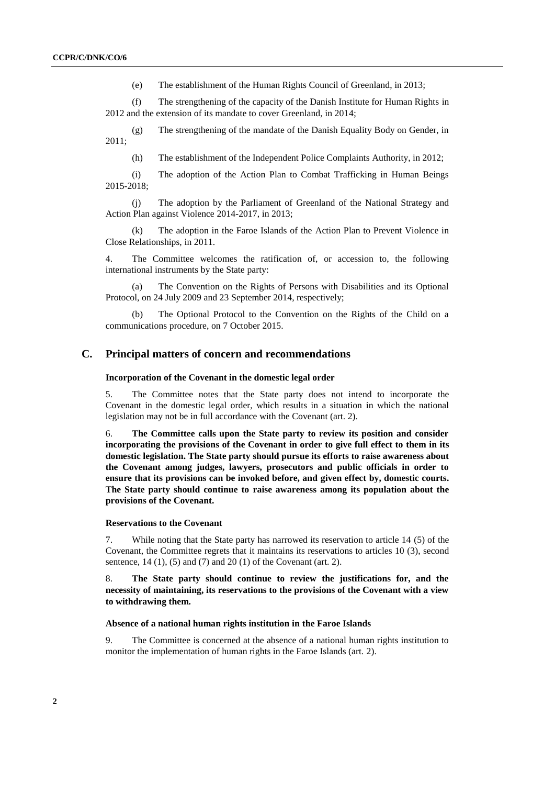(e) The establishment of the Human Rights Council of Greenland, in 2013;

(f) The strengthening of the capacity of the Danish Institute for Human Rights in 2012 and the extension of its mandate to cover Greenland, in 2014;

(g) The strengthening of the mandate of the Danish Equality Body on Gender, in 2011;

(h) The establishment of the Independent Police Complaints Authority, in 2012;

(i) The adoption of the Action Plan to Combat Trafficking in Human Beings 2015-2018;

(j) The adoption by the Parliament of Greenland of the National Strategy and Action Plan against Violence 2014-2017, in 2013;

(k) The adoption in the Faroe Islands of the Action Plan to Prevent Violence in Close Relationships, in 2011.

4. The Committee welcomes the ratification of, or accession to, the following international instruments by the State party:

(a) The Convention on the Rights of Persons with Disabilities and its Optional Protocol, on 24 July 2009 and 23 September 2014, respectively;

(b) The Optional Protocol to the Convention on the Rights of the Child on a communications procedure, on 7 October 2015.

### **C. Principal matters of concern and recommendations**

#### **Incorporation of the Covenant in the domestic legal order**

5. The Committee notes that the State party does not intend to incorporate the Covenant in the domestic legal order, which results in a situation in which the national legislation may not be in full accordance with the Covenant (art. 2).

6. **The Committee calls upon the State party to review its position and consider incorporating the provisions of the Covenant in order to give full effect to them in its domestic legislation. The State party should pursue its efforts to raise awareness about the Covenant among judges, lawyers, prosecutors and public officials in order to ensure that its provisions can be invoked before, and given effect by, domestic courts. The State party should continue to raise awareness among its population about the provisions of the Covenant.** 

#### **Reservations to the Covenant**

7. While noting that the State party has narrowed its reservation to article 14 (5) of the Covenant, the Committee regrets that it maintains its reservations to articles 10 (3), second sentence, 14 (1), (5) and (7) and 20 (1) of the Covenant (art. 2).

#### 8. **The State party should continue to review the justifications for, and the necessity of maintaining, its reservations to the provisions of the Covenant with a view to withdrawing them.**

#### **Absence of a national human rights institution in the Faroe Islands**

9. The Committee is concerned at the absence of a national human rights institution to monitor the implementation of human rights in the Faroe Islands (art. 2).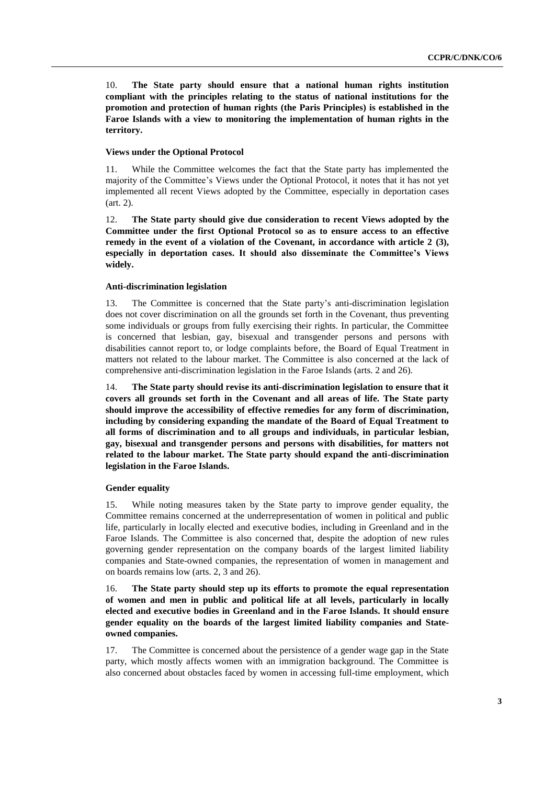10. **The State party should ensure that a national human rights institution compliant with the principles relating to the status of national institutions for the promotion and protection of human rights (the Paris Principles) is established in the Faroe Islands with a view to monitoring the implementation of human rights in the territory.** 

#### **Views under the Optional Protocol**

11. While the Committee welcomes the fact that the State party has implemented the majority of the Committee's Views under the Optional Protocol, it notes that it has not yet implemented all recent Views adopted by the Committee, especially in deportation cases (art. 2).

12. **The State party should give due consideration to recent Views adopted by the Committee under the first Optional Protocol so as to ensure access to an effective remedy in the event of a violation of the Covenant, in accordance with article 2 (3), especially in deportation cases. It should also disseminate the Committee's Views widely.**

#### **Anti-discrimination legislation**

13. The Committee is concerned that the State party's anti-discrimination legislation does not cover discrimination on all the grounds set forth in the Covenant, thus preventing some individuals or groups from fully exercising their rights. In particular, the Committee is concerned that lesbian, gay, bisexual and transgender persons and persons with disabilities cannot report to, or lodge complaints before, the Board of Equal Treatment in matters not related to the labour market. The Committee is also concerned at the lack of comprehensive anti-discrimination legislation in the Faroe Islands (arts. 2 and 26).

14. **The State party should revise its anti-discrimination legislation to ensure that it covers all grounds set forth in the Covenant and all areas of life. The State party should improve the accessibility of effective remedies for any form of discrimination, including by considering expanding the mandate of the Board of Equal Treatment to all forms of discrimination and to all groups and individuals, in particular lesbian, gay, bisexual and transgender persons and persons with disabilities, for matters not related to the labour market. The State party should expand the anti-discrimination legislation in the Faroe Islands.**

#### **Gender equality**

15. While noting measures taken by the State party to improve gender equality, the Committee remains concerned at the underrepresentation of women in political and public life, particularly in locally elected and executive bodies, including in Greenland and in the Faroe Islands. The Committee is also concerned that, despite the adoption of new rules governing gender representation on the company boards of the largest limited liability companies and State-owned companies, the representation of women in management and on boards remains low (arts. 2, 3 and 26).

16. **The State party should step up its efforts to promote the equal representation of women and men in public and political life at all levels, particularly in locally elected and executive bodies in Greenland and in the Faroe Islands. It should ensure gender equality on the boards of the largest limited liability companies and Stateowned companies.** 

17. The Committee is concerned about the persistence of a gender wage gap in the State party, which mostly affects women with an immigration background. The Committee is also concerned about obstacles faced by women in accessing full-time employment, which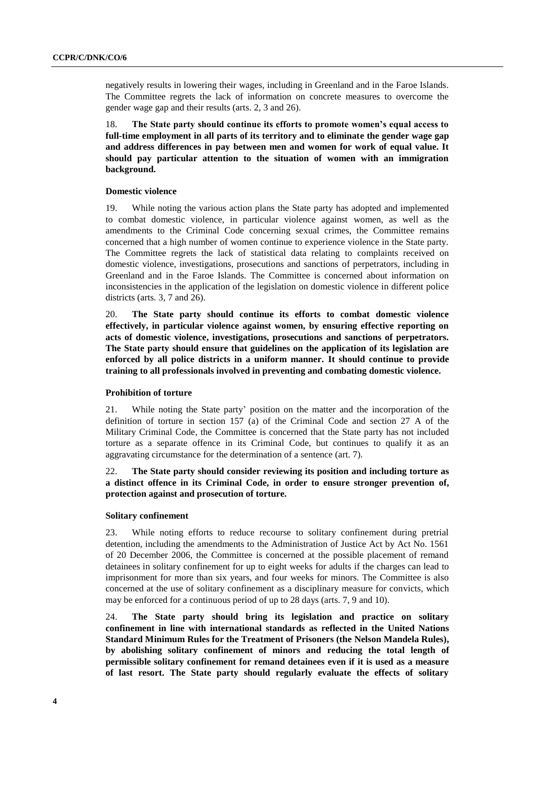negatively results in lowering their wages, including in Greenland and in the Faroe Islands. The Committee regrets the lack of information on concrete measures to overcome the gender wage gap and their results (arts. 2, 3 and 26).

18. **The State party should continue its efforts to promote women's equal access to full-time employment in all parts of its territory and to eliminate the gender wage gap and address differences in pay between men and women for work of equal value. It should pay particular attention to the situation of women with an immigration background.**

#### **Domestic violence**

19. While noting the various action plans the State party has adopted and implemented to combat domestic violence, in particular violence against women, as well as the amendments to the Criminal Code concerning sexual crimes, the Committee remains concerned that a high number of women continue to experience violence in the State party. The Committee regrets the lack of statistical data relating to complaints received on domestic violence, investigations, prosecutions and sanctions of perpetrators, including in Greenland and in the Faroe Islands. The Committee is concerned about information on inconsistencies in the application of the legislation on domestic violence in different police districts (arts. 3, 7 and 26).

20. **The State party should continue its efforts to combat domestic violence effectively, in particular violence against women, by ensuring effective reporting on acts of domestic violence, investigations, prosecutions and sanctions of perpetrators. The State party should ensure that guidelines on the application of its legislation are enforced by all police districts in a uniform manner. It should continue to provide training to all professionals involved in preventing and combating domestic violence.**

#### **Prohibition of torture**

21. While noting the State party' position on the matter and the incorporation of the definition of torture in section 157 (a) of the Criminal Code and section 27 A of the Military Criminal Code, the Committee is concerned that the State party has not included torture as a separate offence in its Criminal Code, but continues to qualify it as an aggravating circumstance for the determination of a sentence (art. 7).

22. **The State party should consider reviewing its position and including torture as a distinct offence in its Criminal Code, in order to ensure stronger prevention of, protection against and prosecution of torture.** 

#### **Solitary confinement**

23. While noting efforts to reduce recourse to solitary confinement during pretrial detention, including the amendments to the Administration of Justice Act by Act No. 1561 of 20 December 2006, the Committee is concerned at the possible placement of remand detainees in solitary confinement for up to eight weeks for adults if the charges can lead to imprisonment for more than six years, and four weeks for minors. The Committee is also concerned at the use of solitary confinement as a disciplinary measure for convicts, which may be enforced for a continuous period of up to 28 days (arts. 7, 9 and 10).

24. **The State party should bring its legislation and practice on solitary confinement in line with international standards as reflected in the United Nations Standard Minimum Rules for the Treatment of Prisoners (the Nelson Mandela Rules), by abolishing solitary confinement of minors and reducing the total length of permissible solitary confinement for remand detainees even if it is used as a measure of last resort. The State party should regularly evaluate the effects of solitary**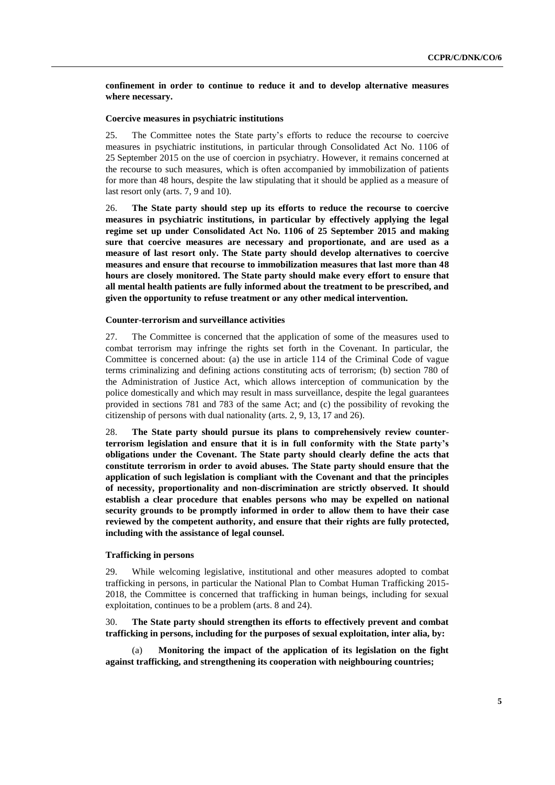**confinement in order to continue to reduce it and to develop alternative measures where necessary.**

#### **Coercive measures in psychiatric institutions**

25. The Committee notes the State party's efforts to reduce the recourse to coercive measures in psychiatric institutions, in particular through Consolidated Act No. 1106 of 25 September 2015 on the use of coercion in psychiatry. However, it remains concerned at the recourse to such measures, which is often accompanied by immobilization of patients for more than 48 hours, despite the law stipulating that it should be applied as a measure of last resort only (arts. 7, 9 and 10).

26. **The State party should step up its efforts to reduce the recourse to coercive measures in psychiatric institutions, in particular by effectively applying the legal regime set up under Consolidated Act No. 1106 of 25 September 2015 and making sure that coercive measures are necessary and proportionate, and are used as a measure of last resort only. The State party should develop alternatives to coercive measures and ensure that recourse to immobilization measures that last more than 48 hours are closely monitored. The State party should make every effort to ensure that all mental health patients are fully informed about the treatment to be prescribed, and given the opportunity to refuse treatment or any other medical intervention.**

#### **Counter**-**terrorism and surveillance activities**

27. The Committee is concerned that the application of some of the measures used to combat terrorism may infringe the rights set forth in the Covenant. In particular, the Committee is concerned about: (a) the use in article 114 of the Criminal Code of vague terms criminalizing and defining actions constituting acts of terrorism; (b) section 780 of the Administration of Justice Act, which allows interception of communication by the police domestically and which may result in mass surveillance, despite the legal guarantees provided in sections 781 and 783 of the same Act; and (c) the possibility of revoking the citizenship of persons with dual nationality (arts. 2, 9, 13, 17 and 26).

28. **The State party should pursue its plans to comprehensively review counterterrorism legislation and ensure that it is in full conformity with the State party's obligations under the Covenant. The State party should clearly define the acts that constitute terrorism in order to avoid abuses. The State party should ensure that the application of such legislation is compliant with the Covenant and that the principles of necessity, proportionality and non**-**discrimination are strictly observed. It should establish a clear procedure that enables persons who may be expelled on national security grounds to be promptly informed in order to allow them to have their case reviewed by the competent authority, and ensure that their rights are fully protected, including with the assistance of legal counsel.**

#### **Trafficking in persons**

29. While welcoming legislative, institutional and other measures adopted to combat trafficking in persons, in particular the National Plan to Combat Human Trafficking 2015- 2018, the Committee is concerned that trafficking in human beings, including for sexual exploitation, continues to be a problem (arts. 8 and 24).

30. **The State party should strengthen its efforts to effectively prevent and combat trafficking in persons, including for the purposes of sexual exploitation, inter alia, by:**

(a) **Monitoring the impact of the application of its legislation on the fight against trafficking, and strengthening its cooperation with neighbouring countries;**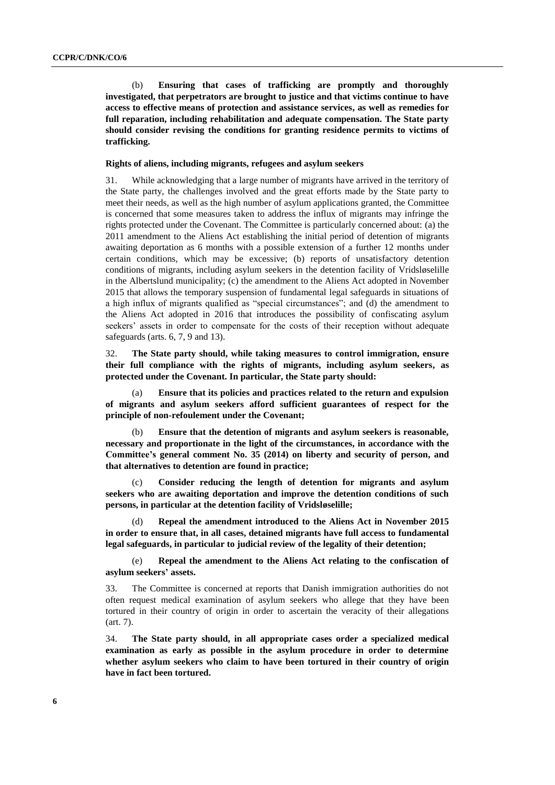(b) **Ensuring that cases of trafficking are promptly and thoroughly investigated, that perpetrators are brought to justice and that victims continue to have access to effective means of protection and assistance services, as well as remedies for full reparation, including rehabilitation and adequate compensation. The State party should consider revising the conditions for granting residence permits to victims of trafficking.** 

#### **Rights of aliens, including migrants, refugees and asylum seekers**

31. While acknowledging that a large number of migrants have arrived in the territory of the State party, the challenges involved and the great efforts made by the State party to meet their needs, as well as the high number of asylum applications granted, the Committee is concerned that some measures taken to address the influx of migrants may infringe the rights protected under the Covenant. The Committee is particularly concerned about: (a) the 2011 amendment to the Aliens Act establishing the initial period of detention of migrants awaiting deportation as 6 months with a possible extension of a further 12 months under certain conditions, which may be excessive; (b) reports of unsatisfactory detention conditions of migrants, including asylum seekers in the detention facility of Vridsløselille in the Albertslund municipality; (c) the amendment to the Aliens Act adopted in November 2015 that allows the temporary suspension of fundamental legal safeguards in situations of a high influx of migrants qualified as "special circumstances"; and (d) the amendment to the Aliens Act adopted in 2016 that introduces the possibility of confiscating asylum seekers' assets in order to compensate for the costs of their reception without adequate safeguards (arts. 6, 7, 9 and 13).

32. **The State party should, while taking measures to control immigration, ensure their full compliance with the rights of migrants, including asylum seekers, as protected under the Covenant. In particular, the State party should:**

(a) **Ensure that its policies and practices related to the return and expulsion of migrants and asylum seekers afford sufficient guarantees of respect for the principle of non-refoulement under the Covenant;** 

(b) **Ensure that the detention of migrants and asylum seekers is reasonable, necessary and proportionate in the light of the circumstances, in accordance with the Committee's general comment No. 35 (2014) on liberty and security of person, and that alternatives to detention are found in practice;**

(c) **Consider reducing the length of detention for migrants and asylum seekers who are awaiting deportation and improve the detention conditions of such persons, in particular at the detention facility of Vridsløselille;** 

(d) **Repeal the amendment introduced to the Aliens Act in November 2015 in order to ensure that, in all cases, detained migrants have full access to fundamental legal safeguards, in particular to judicial review of the legality of their detention;**

(e) **Repeal the amendment to the Aliens Act relating to the confiscation of asylum seekers' assets.** 

33. The Committee is concerned at reports that Danish immigration authorities do not often request medical examination of asylum seekers who allege that they have been tortured in their country of origin in order to ascertain the veracity of their allegations (art. 7).

34. **The State party should, in all appropriate cases order a specialized medical examination as early as possible in the asylum procedure in order to determine whether asylum seekers who claim to have been tortured in their country of origin have in fact been tortured.**